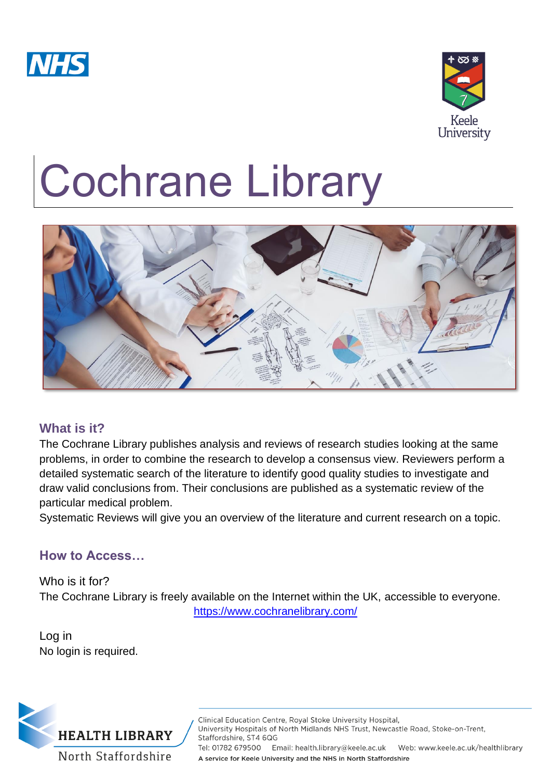



# Cochrane Library



# **What is it?**

The Cochrane Library publishes analysis and reviews of research studies looking at the same problems, in order to combine the research to develop a consensus view. Reviewers perform a detailed systematic search of the literature to identify good quality studies to investigate and draw valid conclusions from. Their conclusions are published as a systematic review of the particular medical problem.

Systematic Reviews will give you an overview of the literature and current research on a topic.

### **How to Access…**

Who is it for? The Cochrane Library is freely available on the Internet within the UK, accessible to everyone. <https://www.cochranelibrary.com/>

Log in No login is required.



Clinical Education Centre, Royal Stoke University Hospital, University Hospitals of North Midlands NHS Trust, Newcastle Road, Stoke-on-Trent, Staffordshire, ST4 6QG Tel: 01782 679500 Email: health.library@keele.ac.uk Web: www.keele.ac.uk/healthlibrary A service for Keele University and the NHS in North Staffordshire